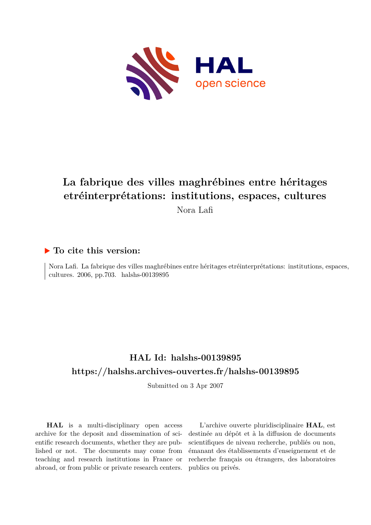

# **La fabrique des villes maghrébines entre héritages etréinterprétations: institutions, espaces, cultures** Nora Lafi

## **To cite this version:**

Nora Lafi. La fabrique des villes maghrébines entre héritages etréinterprétations: institutions, espaces, cultures. 2006, pp.703. halshs-00139895

# **HAL Id: halshs-00139895 <https://halshs.archives-ouvertes.fr/halshs-00139895>**

Submitted on 3 Apr 2007

**HAL** is a multi-disciplinary open access archive for the deposit and dissemination of scientific research documents, whether they are published or not. The documents may come from teaching and research institutions in France or abroad, or from public or private research centers.

L'archive ouverte pluridisciplinaire **HAL**, est destinée au dépôt et à la diffusion de documents scientifiques de niveau recherche, publiés ou non, émanant des établissements d'enseignement et de recherche français ou étrangers, des laboratoires publics ou privés.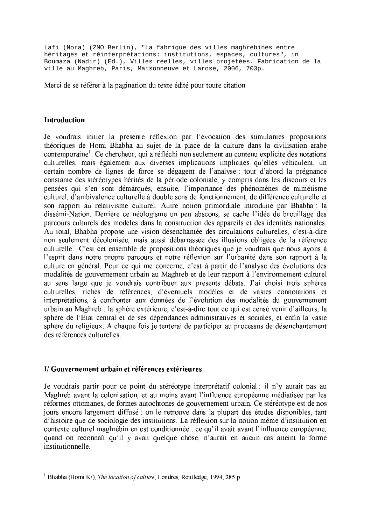Lafi (Nora) (ZMO Berlin), "La fabrique des villes maghrébines entre héritages et réinterprétations: institutions, espaces, cultures", in Boumaza (Nadir) (Ed.), Villes réelles, villes projetées. Fabrication de la ville au Maghreb, Paris, Maisonneuve et Larose, 2006, 703p.

Merci de se référer à la pagination du texte édité pour toute citation

#### Introduction

Je voudrais initier la présente réflexion par l'évocation des stimulantes propositions théoriques de Homi Bhabha au sujet de la place de la culture dans la civilisation arabe contemporaine<sup>1</sup>. Ce chercheur, qui a réfléchi non seulement au contenu explicite des notations culturelles, mais également aux diverses implications implicites qu'elles véhiculent, un certain nombre de lignes de force se dégagent de l'analyse : tout d'abord la prégnance constante des stéréotypes hérités de la période coloniale, y compris dans les discours et les pensées qui s'en sont démarqués, ensuite, l'importance des phénomènes de mimétisme culturel, d'ambivalence culturelle à double sens de fonctionnement, de différence culturelle et son rapport au relativisme culturel. Autre notion primordiale introduite par Bhabha: la dissémi-Nation. Derrière ce néologisme un peu abscons, se cache l'idée de brouillage des parcours culturels des modèles dans la construction des appareils et des identités nationales. Au total, Bhabha propose une vision désenchantée des circulations culturelles, c'est-à-dire non seulement décolonisée, mais aussi débarrassée des illusions obligées de la référence culturelle. C'est cet ensemble de propositions théoriques que je voudrais que nous ayons à l'esprit dans notre propre parcours et notre réflexion sur l'urbanité dans son rapport à la culture en général. Pour ce qui me concerne, c'est à partir de l'analyse des évolutions des modalités de gouvernement urbain au Maghreb et de leur rapport à l'environnement culturel au sens large que je voudrais contribuer aux présents débats. J'ai choisi trois sphères culturelles, riches de références, d'éventuels modèles et de vastes connotations et interprétations, à confronter aux données de l'évolution des modalités du gouvernement urbain au Maghreb : la sphère extérieure, c'est-à-dire tout ce qui est censé venir d'ailleurs, la sphère de l'Etat central et de ses dépendances administratives et sociales, et enfin la vaste sphère du religieux. A chaque fois je tenterai de participer au processus de désenchantement des références culturelles.

#### I/Gouvernement urbain et références extérieures

Je voudrais partir pour ce point du stéréotype interprétatif colonial : il n'y aurait pas au Maghreb avant la colonisation, et au moins avant l'influence européenne médiatisée par les réformes ottomanes, de formes autochtones de gouvernement urbain. Ce stéréotype est de nos jours encore largement diffusé : on le retrouve dans la plupart des études disponibles, tant d'histoire que de sociologie des institutions. La réflexion sur la notion même d'institution en contexte culturel maghrébin en est conditionnée : ce qu'il avait avant l'influence européenne, quand on reconnaît qu'il y avait quelque chose, n'aurait en aucun cas atteint la forme institutionnelle.

<sup>&</sup>lt;sup>1</sup> Bhabha (Homi K/), *The location of culture*, Londres, Routledge, 1994, 285 p.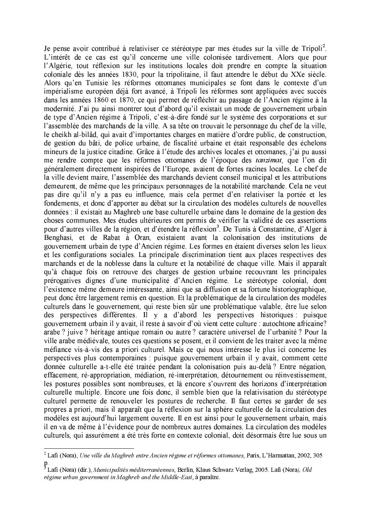Je pense avoir contribué à relativiser ce stéréotype par mes études sur la ville de Tripoli<sup>2</sup>. L'intérêt de ce cas est qu'il concerne une ville colonisée tardivement. Alors que pour l'Algérie, tout réflexion sur les institutions locales doit prendre en compte la situation coloniale dès les années 1830, pour la tripolitaine, il faut attendre le début du XXe siècle. Alors qu'en Tunisie les réformes ottomanes municipales se font dans le contexte d'un impérialisme européen déjà fort avancé, à Tripoli les réformes sont appliquées avec succès dans les années 1860 et 1870, ce qui permet de réfléchir au passage de l'Ancien régime à la modernité. J'ai pu ainsi montrer tout d'abord qu'il existait un mode de gouvernement urbain de type d'Ancien régime à Tripoli, c'est-à-dire fondé sur le système des corporations et sur l'assemblée des marchands de la ville. A sa tête on trouvait le personnage du chef de la ville, le cheikh al-bilâd, qui avait d'importantes charges en matière d'ordre public, de construction. de gestion du bâti, de police urbaine, de fiscalité urbaine et était responsable des échelons mineurs de la justice citadine. Grâce à l'étude des archives locales et ottomanes, j'ai pu aussi me rendre compte que les réformes ottomanes de l'époque des *tanzimat*, que l'on dit généralement directement inspirées de l'Europe, avaient de fortes racines locales. Le chef de la ville devient maire, l'assemblée des marchands devient conseil municipal et les attributions demeurent, de même que les principaux personnages de la notabilité marchande. Cela ne veut pas dire qu'il n'v a pas eu influence, mais cela permet d'en relativiser la portée et les fondements, et donc d'apporter au débat sur la circulation des modèles culturels de nouvelles données : il existait au Maghreb une base culturelle urbaine dans le domaine de la gestion des choses communes. Mes études ultérieures ont permis de vérifier la validité de ces assertions pour d'autres villes de la région, et d'étendre la réflexion<sup>3</sup>. De Tunis à Constantine, d'Alger à Benghasi, et de Rabat à Oran, existaient avant la colonisation des institutions de gouvernement urbain de type d'Ancien régime. Les formes en étaient diverses selon les lieux et les configurations sociales. La principale discrimination tient aux places respectives des marchands et de la noblesse dans la culture et la notabilité de chaque ville. Mais il apparaît qu'à chaque fois on retrouve des charges de gestion urbaine recouvrant les principales prérogatives dignes d'une municipalité d'Ancien régime. Le stéréotype colonial, dont l'existence même demeure intéressante, ainsi que sa diffusion et sa fortune historiographique, peut donc être largement remis en question. Et la problématique de la circulation des modèles culturels dans le gouvernement, qui reste bien sûr une problématique valable, être lue selon des perspectives différentes. Il y a d'abord les perspectives historiques puisque gouvernement urbain il y avait, il reste à savoir d'où vient cette culture : autochtone africaine? arabe ? juive ? héritage antique romain ou autre ? caractère universel de l'urbanité ? Pour la ville arabe médiévale, toutes ces questions se posent, et il convient de les traiter avec la même méfiance vis-à-vis des a priori culturel. Mais ce qui nous intéresse le plus ici concerne les perspectives plus contemporaines : puisque gouvernement urbain il y avait, comment cette donnée culturelle a-t-elle été traitée pendant la colonisation puis au-delà? Entre négation, effacement, ré-appropriation, médiation, ré-interprétation, détournement ou réinvestissement, les postures possibles sont nombreuses, et là encore s'ouvrent des horizons d'interprétation culturelle multiple. Encore une fois donc, il semble bien que la relativisation du stéréotype culturel permette de renouveler les postures de recherche. Il faut certes se garder de ses propres a priori, mais il apparaît que la réflexion sur la sphère culturelle de la circulation des modèles est aujourd'hui largement ouverte. Il en est ainsi pour le gouvernement urbain, mais il en va de même à l'évidence pour de nombreux autres domaines. La circulation des modèles culturels, qui assurément a été très forte en contexte colonial, doit désormais être lue sous un

 $2$  Lafi (Nora), Une ville du Maghreb entre Ancien régime et réformes ottomanes, Paris, L'Harmattan, 2002, 305

p.<br><sup>3</sup> Lafi (Nora) (dir.), *Municipalités méditerranéennes*, Berlin, Klaus Schwarz Verlag, 2005. Lafi (Nora), Old régime urban government in Maghreb and the Middle-East, à paraître.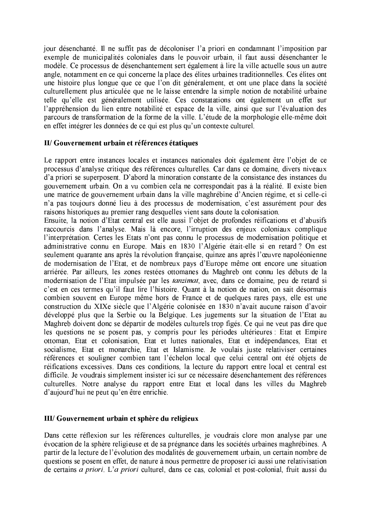jour désenchanté. Il ne suffit pas de décoloniser l'a priori en condamnant l'imposition par exemple de municipalités coloniales dans le pouvoir urbain, il faut aussi désenchanter le modèle. Ce processus de désenchantement sert également à lire la ville actuelle sous un autre angle, notamment en ce qui concerne la place des élites urbaines traditionnelles. Ces élites ont une histoire plus longue que ce que l'on dit généralement, et ont une place dans la société culturellement plus articulée que ne le laisse entendre la simple notion de notabilité urbaine telle qu'elle est généralement utilisée. Ces constatations ont également un effet sur l'appréhension du lien entre notabilité et espace de la ville, ainsi que sur l'évaluation des parcours de transformation de la forme de la ville. L'étude de la morphologie elle-même doit en effet intégrer les données de ce qui est plus qu'un contexte culturel.

#### II/ Gouvernement urbain et références étatiques

Le rapport entre instances locales et instances nationales doit également être l'objet de ce processus d'analyse critique des références culturelles. Car dans ce domaine, divers niveaux d'a priori se superposent. D'abord la minoration constante de la consistance des instances du gouvernement urbain. On a vu combien cela ne correspondait pas à la réalité. Il existe bien une matrice de gouvernement urbain dans la ville maghrébine d'Ancien régime, et si celle-ci n'a pas toujours donné lieu à des processus de modernisation, c'est assurément pour des raisons historiques au premier rang desquelles vient sans doute la colonisation.

Ensuite, la notion d'Etat central est elle aussi l'objet de profondes réifications et d'abusifs raccourcis dans l'analyse. Mais là encore, l'irruption des enjeux coloniaux complique l'interprétation. Certes les Etats n'ont pas connu le processus de modernisation politique et administrative connu en Europe. Mais en 1830 l'Algérie était-elle si en retard ? On est seulement quarante ans après la révolution française, quinze ans après l'œuvre napoléonienne de modernisation de l'Etat, et de nombreux pays d'Europe même ont encore une situation arriérée. Par ailleurs, les zones restées ottomanes du Maghreb ont connu les débuts de la modernisation de l'Etat impulsée par les *tanzimat*, avec, dans ce domaine, peu de retard si c'est en ces termes qu'il faut lire l'histoire. Quant à la notion de nation, on sait désormais combien souvent en Europe même hors de France et de quelques rares pays, elle est une construction du XIXe siècle que l'Algérie colonisée en 1830 n'avait aucune raison d'avoir développé plus que la Serbie ou la Belgique. Les jugements sur la situation de l'Etat au Maghreb doivent donc se départir de modèles culturels trop figés. Ce qui ne veut pas dire que les questions ne se posent pas, y compris pour les périodes ultérieures : Etat et Empire ottoman. Etat et colonisation. Etat et luttes nationales. Etat et indépendances. Etat et socialisme, Etat et monarchie, Etat et Islamisme. Je voulais juste relativiser certaines références et souligner combien tant l'échelon local que celui central ont été objets de réifications excessives. Dans ces conditions, la lecture du rapport entre local et central est difficile. Je voudrais simplement insister ici sur ce nécessaire désenchantement des références culturelles. Notre analyse du rapport entre Etat et local dans les villes du Maghreb d'aujourd'hui ne peut qu'en être enrichie.

### III/ Gouvernement urbain et sphère du religieux

Dans cette réflexion sur les références culturelles, je voudrais clore mon analyse par une évocation de la sphère religieuse et de sa prégnance dans les sociétés urbaines maghrébines. A partir de la lecture de l'évolution des modalités de gouvernement urbain, un certain nombre de questions se posent en effet, de nature à nous permettre de proposer ici aussi une relativisation de certains *a priori*. L'*a priori* culturel, dans ce cas, colonial et post-colonial, fruit aussi du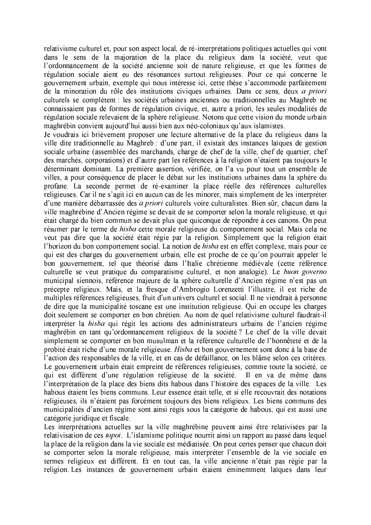relativisme culturel et, pour son aspect local, de ré-interprétations politiques actuelles qui vont dans le sens de la majoration de la place du religieux dans la société, veut que l'ordonnancement de la société ancienne soit de nature religieuse, et que les formes de régulation sociale aient eu des résonances surtout religieuses. Pour ce qui concerne le gouvernement urbain, exemple qui nous intéresse ici, cette thèse s'accommode parfaitement de la minoration du rôle des institutions civiques urbaines. Dans ce sens, deux a priori culturels se complètent : les sociétés urbaines anciennes ou traditionnelles au Maghreb ne connaissaient pas de formes de régulation civique, et, autre a priori, les seules modalités de régulation sociale relevaient de la sphère religieuse. Notons que cette vision du monde urbain maghrébin convient aujourd'hui aussi bien aux néo-coloniaux qu'aux islamistes.

Je voudrais ici brièvement proposer une lecture alternative de la place du religieux dans la ville dite traditionnelle au Maghreb : d'une part, il existait des instances laïques de gestion sociale urbaine (assemblée des marchands, charge de chef de la ville, chef de quartier, chef des marchés, corporations) et d'autre part les références à la religion n'étaient pas toujours le déterminant dominant. La première assertion, vérifiée, on l'a vu pour tout un ensemble de villes, a pour conséquence de placer le débat sur les institutions urbaines dans la sphère du profane. La seconde permet de ré-examiner la place réelle des références culturelles religieuses. Car il ne s'agit ici en aucun cas de les minorer, mais simplement de les interpréter d'une manière débarrassée des *a priori* culturels voire culturalistes. Bien sûr, chacun dans la ville maghrébine d'Ancien régime se devait de se comporter selon la morale religieuse, et qui était chargé du bien commun se devait plus que quiconque de répondre à ces canons. On peut résumer par le terme de *hisba* cette morale religieuse du comportement social. Mais cela ne veut pas dire que la société était régie par la religion. Simplement que la religion était l'horizon du bon comportement social. La notion de hisba est en effet complexe, mais pour ce qui est des charges du gouvernement urbain, elle est proche de ce qu'on pourrait appeler le bon gouvernement, tel que théorisé dans l'Italie chrétienne médiévale (cette référence culturelle se veut pratique du comparatisme culturel, et non analogie). Le buon governo municipal siennois, référence majeure de la sphère culturelle d'Ancien régime n'est pas un précepte religieux. Mais, et la fresque d'Ambrogio Lorenzetti l'illustre, il est riche de multiples références religieuses, fruit d'un univers culturel et social. Il ne viendrait à personne de dire que la municipalité toscane est une institution religieuse. Qui en occupe les charges doit seulement se comporter en bon chrétien. Au nom de quel relativisme culturel faudrait-il interpréter la *hisba* qui régit les actions des administrateurs urbains de l'ancien régime maghrébin en tant qu'ordonnancement religieux de la société? Le chef de la ville devait simplement se comporter en bon musulman et la référence culturelle de l'honnêteté et de la probité était riche d'une morale religieuse. Hisba et bon gouvernement sont donc à la base de l'action des responsables de la ville, et en cas de défaillance, on les blâme selon ces critères. Le gouvernement urbain était empreint de références religieuses, comme toute la société, ce qui est différent d'une régulation religieuse de la société. Il en va de même dans l'interprétation de la place des biens dits habous dans l'histoire des espaces de la ville. Les habous étaient les biens communs. Leur essence était telle, et si elle recouvrait des notations religieuses, ils n'étaient pas forcément toujours des biens religieux. Les biens communs des municipalités d'ancien régime sont ainsi régis sous la catégorie de habous, qui est aussi une catégorie juridique et fiscale.

Les interprétations actuelles sur la ville maghrébine peuvent ainsi être relativisées par la relativisation de ces *topoi*. L'islamisme politique nourrit ainsi un rapport au passé dans lequel la place de la religion dans la vie sociale est médiatisée. On peut certes penser que chacun doit se comporter selon la morale religieuse, mais interpréter l'ensemble de la vie sociale en termes religieux est différent. Et en tout cas, la ville ancienne n'était pas régie par la religion. Les instances de gouvernement urbain étaient éminemment laïques dans leur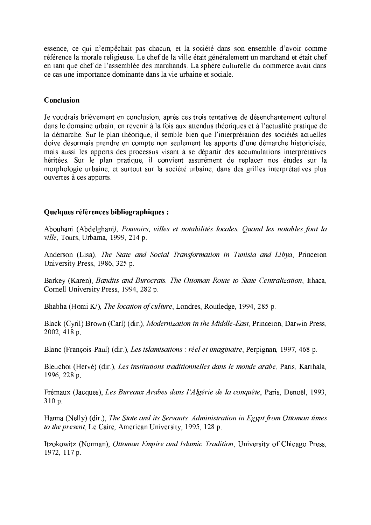essence, ce qui n'empêchait pas chacun, et la société dans son ensemble d'avoir comme référence la morale religieuse. Le chef de la ville était généralement un marchand et était chef en tant que chef de l'assemblée des marchands. La sphère culturelle du commerce avait dans ce cas une importance dominante dans la vie urbaine et sociale.

#### Conclusion

Je voudrais brièvement en conclusion, après ces trois tentatives de désenchantement culturel dans le domaine urbain, en revenir à la fois aux attendus théoriques et à l'actualité pratique de la démarche. Sur le plan théorique, il semble bien que l'interprétation des sociétés actuelles doive désormais prendre en compte non seulement les apports d'une démarche historicisée, mais aussi les apports des processus visant à se départir des accumulations interprétatives héritées. Sur le plan pratique, il convient assurément de replacer nos études sur la morphologie urbaine, et surtout sur la société urbaine, dans des grilles interprétatives plus ouvertes à ces apports.

### Quelques références bibliographiques :

Abouhani (Abdelghani), Pouvoirs, villes et notabilités locales. Quand les notables font la ville, Tours, Urbama, 1999, 214 p.

Anderson (Lisa), The State and Social Transformation in Tunisia and Libya, Princeton University Press, 1986, 325 p.

Barkey (Karen), Bandits and Burocrats. The Ottoman Route to State Centralization, Ithaca, Cornell University Press, 1994, 282 p.

Bhabha (Homi K/), The location of culture, Londres, Routledge, 1994, 285 p.

Black (Cyril) Brown (Carl) (dir.), Modernization in the Middle-East, Princeton, Darwin Press, 2002, 418 p.

Blanc (François-Paul) (dir.), Les islamisations : réel et imaginaire, Perpignan, 1997, 468 p.

Bleuchot (Hervé) (dir.), Les institutions traditionnelles dans le monde arabe, Paris, Karthala, 1996, 228 p.

Frémaux (Jacques), Les Bureaux Arabes dans l'Algérie de la conquête, Paris, Denoël, 1993, 310 p.

Hanna (Nelly) (dir.), The State and its Servants. Administration in Egypt from Ottoman times to the present, Le Caire, American University, 1995, 128 p.

Itzokowitz (Norman), Ottoman Empire and Islamic Tradition, University of Chicago Press, 1972, 117 p.